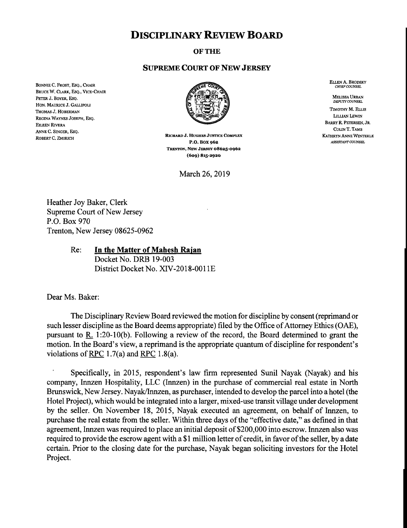## **DISCIPLINARY REVIEW BOARD**

## **OF THE**

## **SUPREME COURT OF NEW JERSEY**

BONNIE C. FROST, ESQ., CHAIR BRUCE W, CLARK, ESQ., VICE-CHAIR PETER J. BOYER, ESQ. HON. MAURICE J. GALLIPOLI THOMAS J. HOBERMAN REGINA WAYNES JOSEPH, ESQ. EILEEN RIVERA ANNE C. SINGER. ESO. ROBERT C, ZMIRICH



RICHARD J. HUGHES JUSTICE COMPLEX P.O. BOX 962 TRENTON, NEW JERSEY 08625-0062 (609) 815-2920

March 26, 2019

ELLEN A. BRODSKY<br>CHIEF COUNSEL

**MELISSA URBAN**<br>*DEPUTY COUNSEL* TIMOTHY M. ELLIS LILLIAN LEWIN BARRY R. PETERSEN, JR. COLIN T. TAMS **KATHRYN ANNE WINTERLE** ASSISTANT COUNSEL

Heather Joy Baker, Clerk Supreme Court of New Jersey P.O. Box 970 Trenton, New Jersey 08625-0962

## Re; **In the Matter of Mahesh Raian**

Docket No. DRB 19-003 District Docket No. XIV-2018-0011E

Dear Ms. Baker:

The Disciplinary Review Board reviewed the motion for discipline by consent (reprimand or such lesser discipline as the Board deems appropriate) filed by the Office of Attorney Ethics (OAE), pursuant to R. 1:20-10(b). Following a review of the record, the Board determined to grant the motion. In the Board's view, a reprimand is the appropriate quantum of discipline for respondent's violations of RPC 1.7(a) and RPC 1.8(a).

Specifically, in 2015, respondent's law firm represented Sunil Nayak (Nayak) and his company, Innzen Hospitality, LLC (Innzen) in the purchase of commercial real estate in North Brunswick, New Jersey. Nayak/Innzen, as purchaser, intended to develop the parcel into a hotel (the Hotel Project), which would be integrated into a larger, mixed-use transit village under development by the seller. On November 18, 2015, Nayak executed an agreement, on behalf of Innzen, to purchase the real estate from the seller. Within three days of the "effective date," as defined in that agreement, Innzen was required to place an initial deposit of \$200,000 into escrow. Innzen also was required to provide the escrow agent with a \$1 million letter of credit, in favor of the seller, by a date certain. Prior to the closing date for the purchase, Nayak began soliciting investors for the Hotel Project.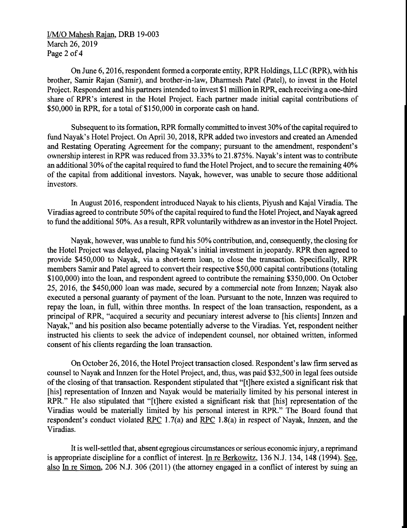I/M/O Mahesh Rajan, DRB 19-003 March 26, 2019 Page 2 of 4

On June 6, 2016, respondent formed a corporate entity, RPR Holdings, LLC (RPR), with his brother, Samir Rajan (Samir), and brother-in-law, Dharmesh Patel (Patel), to invest in the Hotel Project. Respondent and his partners intended to invest \$1 million in RPR, each receiving a one-third share of RPR's interest in the Hotel Project. Each partner made initial capital contributions of \$50,000 in RPR, for a total of \$150,000 in corporate cash on hand.

Subsequent to its formation, RPR formally committed to invest 30% of the capital required to fund Nayak's Hotel Project. On April 30, 2018, RPR added two investors and created an Amended and Restating Operating Agreement for the company; pursuant to the amendment, respondent's ownership interest in RPR was reduced from 33.33% to 21.875%. Nayak's intent was to contribute an additional 30% of the capital required to fund the Hotel Project, and to secure the remaining 40% of the capital from additional investors. Nayak, however, was unable to secure those additional investors.

In August 2016, respondent introduced Nayak to his clients, Piyush and Kajal Viradia. The Viradias agreed to contribute 50% of the capital required to fund the Hotel Project, and Nayak agreed to fund the additional 50%. As a result, RPR voluntarily withdrew as an investor in the Hotel Project.

Nayak, however, was unable to fund his 50% contribution, and, consequently, the closing for the Hotel Project was delayed, placing Nayak's initial investment in jeopardy. RPR then agreed to provide \$450,000 to Nayak, via a short-term loan, to close the transaction. Specifically, RPR members Samir and Patel agreed to convert their respective \$50,000 capital contributions (totaling \$100,000) into the loan, and respondent agreed to contribute the remaining \$350,000. On October 25, 2016, the \$450,000 loan was made, secured by a commercial note from Innzen; Nayak also executed a personal guaranty of payment of the loan. Pursuant to the note, Innzen was required to repay the loan, in full, within three months. In respect of the loan transaction, respondent, as a principal of RPR, "acquired a security and pecuniary interest adverse to [his clients] Innzen and Nayak," and his position also became potentially adverse to the Viradias. Yet, respondent neither instructed his clients to seek the advice of independent counsel, nor obtained written, informed consent of his clients regarding the loan transaction.

On October 26, 2016, the Hotel Project transaction closed. Respondent's law firm served as counsel to Nayak and Innzen for the Hotel Project, and, thus, was paid \$32,500 in legal fees outside of the closing of that transaction. Respondent stipulated that "[t]here existed a significant risk that [his] representation of Innzen and Nayak would be materially limited by his personal interest in RPR." He also stipulated that "[t]here existed a significant risk that [his] representation of the Viradias would be materially limited by his personal interest in RPR." The Board found that respondent's conduct violated RPC 1.7(a) and RPC 1.8(a) in respect of Nayak, Innzen, and the Viradias.

It is well-settled that, absent egregious circumstances or serious economic injury, a reprimand is appropriate discipline for a conflict of interest. In re Berkowitz, 136 N.J. 134, 148 (1994). See, also In re Simon, 206 N.J. 306 (2011) (the attorney engaged in a conflict of interest by suing an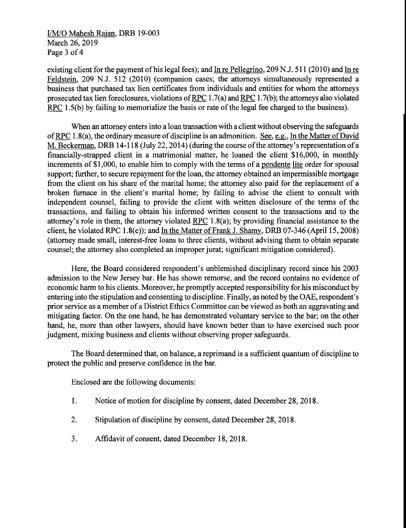I/M/O Mahesh Rajan, DRB 19-003 March 26, 2019 Page 3 of 4

existing client for the payment of his legal fees); and  $In re Pellegrino, 209 N.J. 511 (2010)$  and  $In re$ </u></u> Feldstein, 209 N.J. 512 (2010) (companion cases; the attorneys simultaneously represented a business that purchased tax lien certificates from individuals and entities for whom the attorneys prosecuted tax lien foreclosures, violations ofRPC 1.7(a) and RPC 1.7(b); the attorneys also violated RPC 1.5(b) by failing to memorialize the basis or rate of the legal fee charged to the business).

When an attorney enters into a loan transaction with a client without observing the safeguards of RPC 1.8(a), the ordinary measure of discipline is an admonition. See, e.g., In the Matter of David M. Beckerman, DRB 14-118 (July 22, 2014) (during the course of the attorney's representation of a financially-strapped client in a matrimonial matter, he loaned the client \$16,000, in monthly increments of \$1,000, to enable him to comply with the terms of a pendente lite order for spousal support; further, to secure repayment for the loan, the attorney obtained an impermissible mortgage from the client on his share of the marital home; the attorney also paid for the replacement of a broken furnace in the client's marital home; by failing to advise the client to consult with independent counsel, failing to provide the client with written disclosure of the terms of the transactions, and failing to obtain his informed written consent to the transactions and to the attorney's role in them, the attorney violated RPC 1.8(a); by providing financial assistance to the client, he violated RPC 1.8(e)); and In the Matter of Frank J. Shamy, DRB 07-346 (April 15, 2008) (attorney made small, interest-free loans to three clients, without advising them to obtain separate counsel; the attorney also completed an improper jurat; significant mitigation considered).

Here, the Board considered respondent's unblemished disciplinary record since his 2003 admission to the New Jersey bar. He has shown remorse, and the record contains no evidence of economic harm to his clients. Moreover, he promptly accepted responsibility for his misconduct by entering into the stipulation and consenting to discipline. Finally, as noted by the OAE, respondent's prior service as a member of a District Ethics Committee can be viewed as both an aggravating and mitigating factor. On the one hand, he has demonstrated voluntary service to the bar; on the other hand, he, more than other lawyers, should have known better than to have exercised such poor judgment, mixing business and clients without observing proper safeguards.

The Board determined that, on balance, a reprimand is a sufficient quantum of discipline to protect the public and preserve confidence in the bar.

Enclosed are the following documents:

- 1. Notice of motion for discipline by consent, dated December 28, 2018.
- 2. Stipulation of discipline by consent, dated December 28, 2018.
- 3. Affidavit of consent, dated December 18, 2018.